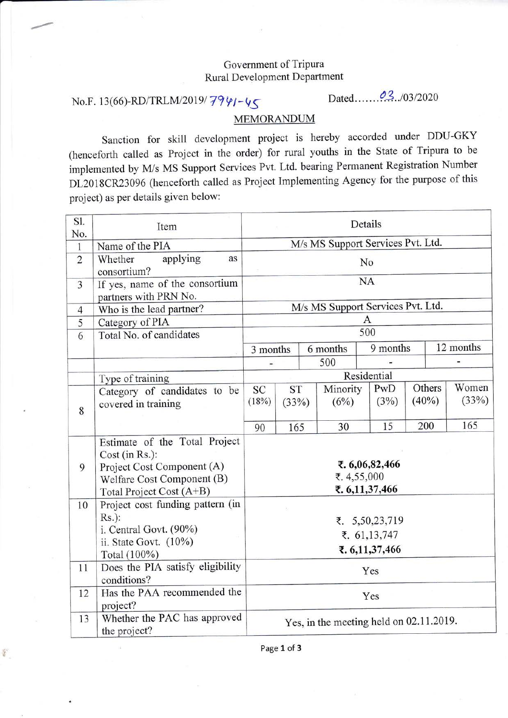## Government of Tripura Rural Development Department

## No.F. 13(66)-RD/TRLM/2019/ $\frac{79}{91}$ - $\frac{15}{5}$

 $\frac{1}{N}$ 

## MEMORANDUM

Sanction for skill development project is hereby accorded under DDU-GKY (henceforth called as project in the order) for rural youths in the State of Tripura to be implemented by M/s MS Support Services Pvt. Ltd. bearing Permanent Registration Number DL2018CR23096 (henceforth called as Project Implementing Agency for the purpose of this project) as per details given below:

| Sl.<br>No.     | Item                                                    | Details                                 |           |          |          |          |  |           |       |  |
|----------------|---------------------------------------------------------|-----------------------------------------|-----------|----------|----------|----------|--|-----------|-------|--|
| $\mathbf{1}$   | Name of the PIA                                         | M/s MS Support Services Pvt. Ltd.       |           |          |          |          |  |           |       |  |
| $\overline{c}$ | Whether<br>applying<br>as<br>consortium?                |                                         | No        |          |          |          |  |           |       |  |
| 3              | If yes, name of the consortium<br>partners with PRN No. | <b>NA</b>                               |           |          |          |          |  |           |       |  |
| $\overline{4}$ | Who is the lead partner?                                | M/s MS Support Services Pvt. Ltd.       |           |          |          |          |  |           |       |  |
| 5              | Category of PIA                                         | A                                       |           |          |          |          |  |           |       |  |
| 6              | Total No. of candidates                                 | 500                                     |           |          |          |          |  |           |       |  |
|                |                                                         | 3 months                                |           | 6 months |          | 9 months |  | 12 months |       |  |
|                |                                                         |                                         |           |          | 500      |          |  |           |       |  |
|                | Type of training                                        | Residential                             |           |          |          |          |  |           |       |  |
|                | Category of candidates to be                            | SC                                      | <b>ST</b> |          | Minority | PwD      |  | Others    | Women |  |
|                | covered in training                                     | (18%)<br>(33%)                          |           |          | (6%)     | (3%)     |  | $(40\%)$  | (33%) |  |
| 8              |                                                         |                                         |           |          |          |          |  |           |       |  |
|                |                                                         | 90                                      | 165       |          | 30       | 15       |  | 200       | 165   |  |
|                | Estimate of the Total Project                           |                                         |           |          |          |          |  |           |       |  |
|                | Cost (in Rs.):                                          |                                         |           |          |          |          |  |           |       |  |
| 9              | Project Cost Component (A)                              | ₹. 6,06,82,466                          |           |          |          |          |  |           |       |  |
|                | Welfare Cost Component (B)                              | ₹.4,55,000                              |           |          |          |          |  |           |       |  |
|                | Total Project Cost (A+B)                                | ₹. 6,11,37,466                          |           |          |          |          |  |           |       |  |
| 10             | Project cost funding pattern (in                        |                                         |           |          |          |          |  |           |       |  |
|                | $Rs.$ ):                                                | ₹. 5,50,23,719                          |           |          |          |          |  |           |       |  |
|                | i. Central Govt. (90%)                                  | ₹. 61,13,747                            |           |          |          |          |  |           |       |  |
|                | ii. State Govt. $(10\%)$                                | ₹. 6,11,37,466                          |           |          |          |          |  |           |       |  |
| 11             | Total (100%)<br>Does the PIA satisfy eligibility        |                                         |           |          |          |          |  |           |       |  |
|                | conditions?                                             |                                         | Yes       |          |          |          |  |           |       |  |
| 12             | Has the PAA recommended the                             | Yes                                     |           |          |          |          |  |           |       |  |
|                | project?                                                |                                         |           |          |          |          |  |           |       |  |
| 13             | Whether the PAC has approved<br>the project?            | Yes, in the meeting held on 02.11.2019. |           |          |          |          |  |           |       |  |

Page 1 of 3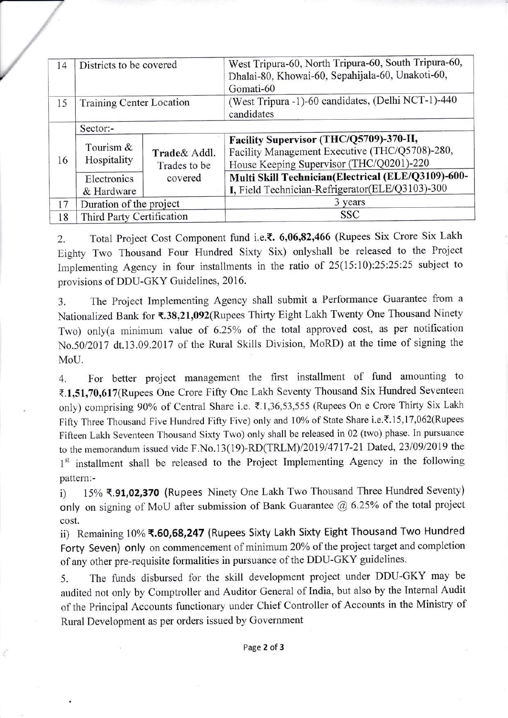| 14 | Districts to be covered                                     |         | West Tripura-60, North Tripura-60, South Tripura-60,<br>Dhalai-80, Khowai-60, Sepahijala-60, Unakoti-60,<br>Gomati-60                 |  |  |  |  |
|----|-------------------------------------------------------------|---------|---------------------------------------------------------------------------------------------------------------------------------------|--|--|--|--|
| 15 | Training Center Location                                    |         | (West Tripura -1)-60 candidates, (Delhi NCT-1)-440<br>candidates                                                                      |  |  |  |  |
| 16 | Sector:-                                                    |         |                                                                                                                                       |  |  |  |  |
|    | Tourism $&$<br>Trade & Addl.<br>Hospitality<br>Trades to be |         | Facility Supervisor (THC/Q5709)-370-II,<br>Facility Management Executive (THC/Q5708)-280,<br>House Keeping Supervisor (THC/Q0201)-220 |  |  |  |  |
|    | Electronics<br>& Hardware                                   | covered | Multi Skill Technician(Electrical (ELE/Q3109)-600-<br>I, Field Technician-Refrigerator(ELE/Q3103)-300                                 |  |  |  |  |
| 17 | Duration of the project                                     |         | 3 years                                                                                                                               |  |  |  |  |
| 18 | Third Party Certification                                   |         | <b>SSC</b>                                                                                                                            |  |  |  |  |

/

÷

2. Total Project Cost Component fund i.e.₹. 6,06,82,466 (Rupees Six Crore Six Lakh Eighty Two Thousand Four Hundred Sixty Six) onlyshall be released to the Project Implementing Agency in four installments in the ratio of 25(15:10):25:25:25 subject to provisions of DDU-GKY Guidelines, 2016.

3. The Project Implementing Agency shall submit a Performanoe Guarantee from <sup>a</sup> Nationalized Bank for ₹.38,21,092(Rupees Thirty Eight Lakh Twenty One Thousand Ninety Two) only(a minimum value of 6.25% of the total approved cost, as per notification No.50/2017 dt.13.09.2017 of the Rural Skills Division, MoRD) at the time of signing the MoU.

4. For better project management the first installment of fund amounting to ₹.1,51,70,617(Rupees One Crore Fifty One Lakh Seventy Thousand Six Hundred Seventeen only) comprising 90% of Central Share i.e. ₹.1,36,53,555 (Rupees On e Crore Thirty Six Lakh Fifty Three Thousand Five Hundred Fifty Five) only and 10% of State Share i.e.₹.15,17,062(Rupees Fifteen Lakh Seventeen Thousand Sixty Two) only shall be released in 02 (two) phase. In pursuance to the memorandum issued vide F.No.13(19)-RD(TRLM)/2019/4717-21 Dated, 23/09/2019 the 1<sup>st</sup> installment shall be released to the Project Implementing Agency in the following pattern:-

i) 15% ₹.91,02,370 (Rupees Ninety One Lakh Two Thousand Three Hundred Seventy) only on signing of MoU after submission of Bank. Guarantee @ 6.25% of the total project cost.

ii) Remaining 10% ₹.60,68,247 (Rupees Sixty Lakh Sixty Eight Thousand Two Hundred Forty Seven) only on commencement of minimum 20% of the project target and completion of any other pre-requisite formalities in pursuance of the DDU-GKY guidelines.

5. The funds disbursed for the skill development project under DDU-GKY may be audited not only by Comptroller and Auditor General of India, but also by the Internal Audit of the Principal Accounts functionary under Chief Controller of Accounts in the Ministry of Rural Development as per orders issued by Government